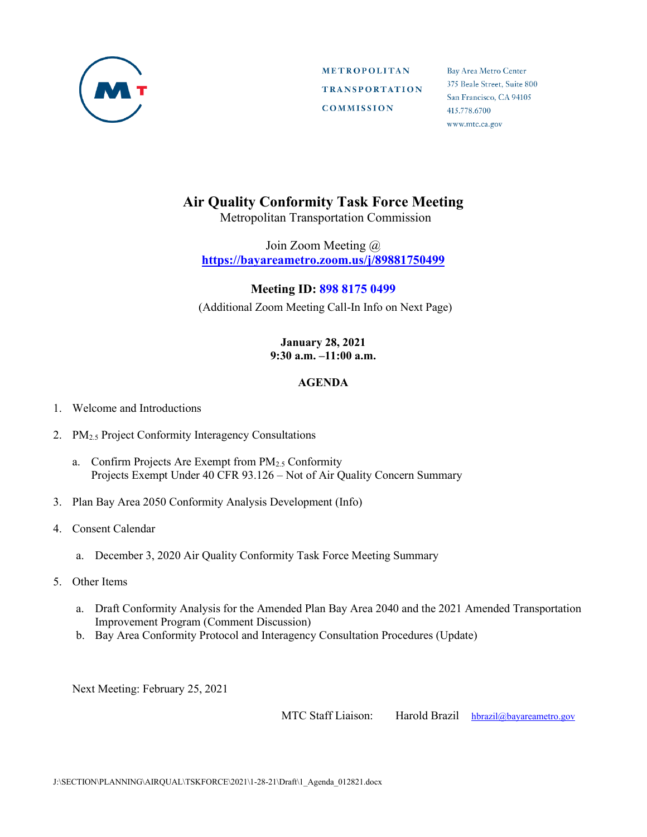

**METROPOLITAN TRANSPORTATION COMMISSION** 

Bay Area Metro Center 375 Beale Street, Suite 800 San Francisco, CA 94105 415.778.6700 www.mtc.ca.gov

## **Air Quality Conformity Task Force Meeting**

Metropolitan Transportation Commission

Join Zoom Meeting @ **https://bayareametro.zoom.us/j/89881750499**

## **Meeting ID: 898 8175 0499**

(Additional Zoom Meeting Call-In Info on Next Page)

## **January 28, 2021 9:30 a.m. –11:00 a.m.**

## **AGENDA**

- 1. Welcome and Introductions
- 2. PM<sub>2.5</sub> Project Conformity Interagency Consultations
	- a. Confirm Projects Are Exempt from PM2.5 Conformity Projects Exempt Under 40 CFR 93.126 – Not of Air Quality Concern Summary
- 3. Plan Bay Area 2050 Conformity Analysis Development (Info)
- 4. Consent Calendar
	- a. December 3, 2020 Air Quality Conformity Task Force Meeting Summary
- 5. Other Items
	- a. Draft Conformity Analysis for the Amended Plan Bay Area 2040 and the 2021 Amended Transportation Improvement Program (Comment Discussion)
	- b. Bay Area Conformity Protocol and Interagency Consultation Procedures (Update)

Next Meeting: February 25, 2021

MTC Staff Liaison: Harold Brazil [hbrazil@bayareametro.gov](mailto:hbrazil@bayareametro.gov)